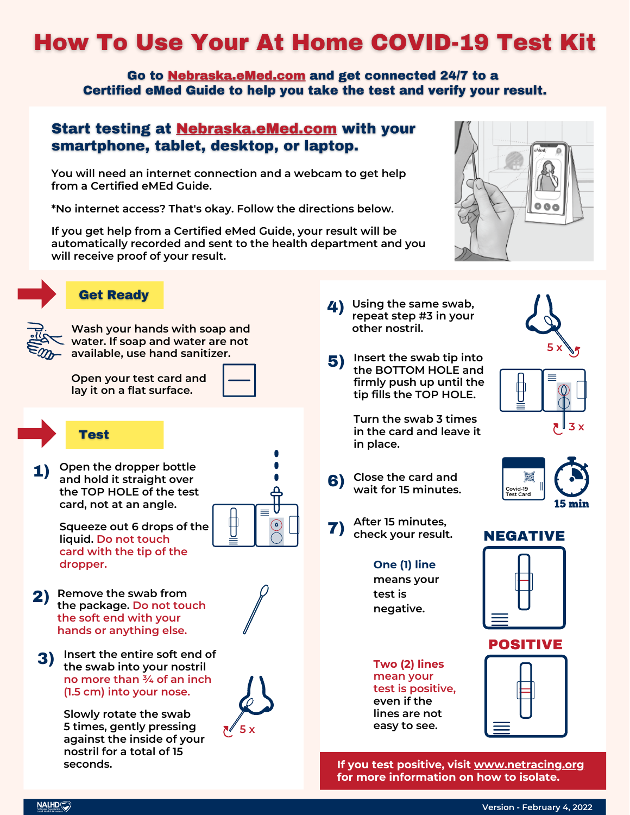# **How To Use Your At Home COVID-19 Test Kit**

Go to Nebraska.eMed.com and get connected 24/7 to a Certified eMed Guide to help you take the test and verify your result.

### **Start testing at Nebraska.eMed.com with your** smartphone, tablet, desktop, or laptop.

**You will need an internet connection and a webcam to get help from a Certified eMEd Guide.**

**\*No internet access? That's okay. Follow the directions below.**

**If you get help from a Certified eMed Guide, your result will be automatically recorded and sent to the health department and you will receive proof of your result.**



## **Get Ready**



**Wash your hands with soap and water. If soap and water are not available, use hand sanitizer.**

**Open your test card and lay it on a flat surface.**

### **Test**

**1)** Open the dropper bottle<br>
and hold it straight over **and hold it straight over the TOP HOLE of the test card, not at an angle.**

> **Squeeze out 6 drops of the liquid. Do not touch card with the tip of the dropper.**

- **Remove the swab from the package. Do not touch the soft end with your hands or anything else.** 2)
	- **3)** Insert the entire soft end of<br>
	the swab into your postril **the swab into your nostril no more than ¾ of an inch (1.5 cm) into your nose.**

**Slowly rotate the swab 5 times, gently pressing against the inside of your nostril for a total of 15 seconds.**



**Insert the swab tip into** 5) **the BOTTOM HOLE and firmly push up until the tip fills the TOP HOLE.**

> **Turn the swab 3 times in the card and leave it in place.**

**Close the card and wait for <sup>15</sup> minutes.** 6)







- **After <sup>15</sup> minutes,** 7 **check your result.** )
	- **One (1) line means your test is negative.**

**Two (2) lines mean your test is positive, even if the lines are not easy to see.**



POSITIVE

NEGATIVE

**If you test positive, visit [www.netracing.org](http://www.netracing.org/) for more information on how to isolate.**



ি